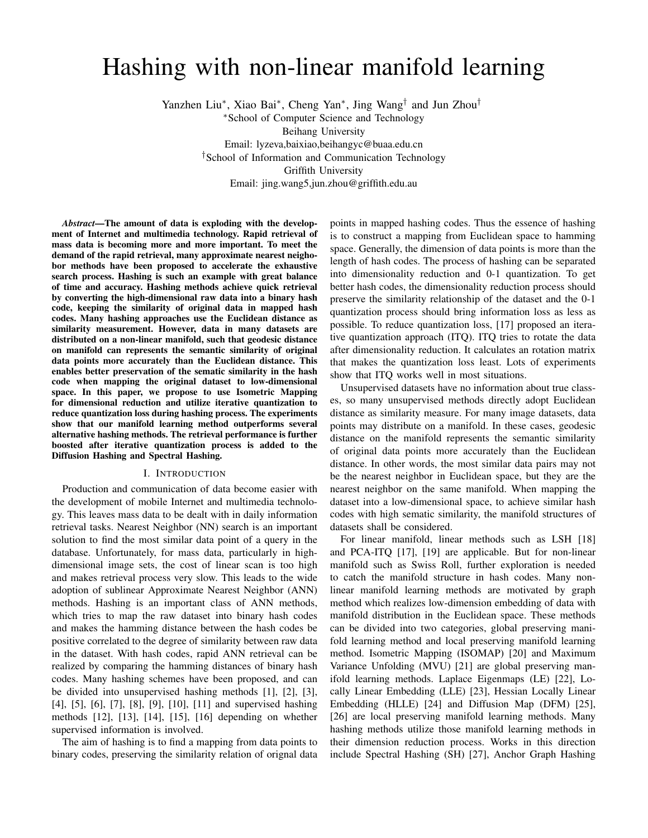# Hashing with non-linear manifold learning

Yanzhen Liu*∗* , Xiao Bai*∗* , Cheng Yan*∗* , Jing Wang*†* and Jun Zhou*†*

*∗*School of Computer Science and Technology Beihang University Email: lyzeva,baixiao,beihangyc@buaa.edu.cn *†*School of Information and Communication Technology Griffith University Email: jing.wang5,jun.zhou@griffith.edu.au

*Abstract*—The amount of data is exploding with the development of Internet and multimedia technology. Rapid retrieval of mass data is becoming more and more important. To meet the demand of the rapid retrieval, many approximate nearest neighobor methods have been proposed to accelerate the exhaustive search process. Hashing is such an example with great balance of time and accuracy. Hashing methods achieve quick retrieval by converting the high-dimensional raw data into a binary hash code, keeping the similarity of original data in mapped hash codes. Many hashing approaches use the Euclidean distance as similarity measurement. However, data in many datasets are distributed on a non-linear manifold, such that geodesic distance on manifold can represents the semantic similarity of original data points more accurately than the Euclidean distance. This enables better preservation of the sematic similarity in the hash code when mapping the original dataset to low-dimensional space. In this paper, we propose to use Isometric Mapping for dimensional reduction and utilize iterative quantization to reduce quantization loss during hashing process. The experiments show that our manifold learning method outperforms several alternative hashing methods. The retrieval performance is further boosted after iterative quantization process is added to the Diffusion Hashing and Spectral Hashing.

#### I. INTRODUCTION

Production and communication of data become easier with the development of mobile Internet and multimedia technology. This leaves mass data to be dealt with in daily information retrieval tasks. Nearest Neighbor (NN) search is an important solution to find the most similar data point of a query in the database. Unfortunately, for mass data, particularly in highdimensional image sets, the cost of linear scan is too high and makes retrieval process very slow. This leads to the wide adoption of sublinear Approximate Nearest Neighbor (ANN) methods. Hashing is an important class of ANN methods, which tries to map the raw dataset into binary hash codes and makes the hamming distance between the hash codes be positive correlated to the degree of similarity between raw data in the dataset. With hash codes, rapid ANN retrieval can be realized by comparing the hamming distances of binary hash codes. Many hashing schemes have been proposed, and can be divided into unsupervised hashing methods [1], [2], [3], [4], [5], [6], [7], [8], [9], [10], [11] and supervised hashing methods [12], [13], [14], [15], [16] depending on whether supervised information is involved.

The aim of hashing is to find a mapping from data points to binary codes, preserving the similarity relation of orignal data points in mapped hashing codes. Thus the essence of hashing is to construct a mapping from Euclidean space to hamming space. Generally, the dimension of data points is more than the length of hash codes. The process of hashing can be separated into dimensionality reduction and 0-1 quantization. To get better hash codes, the dimensionality reduction process should preserve the similarity relationship of the dataset and the 0-1 quantization process should bring information loss as less as possible. To reduce quantization loss, [17] proposed an iterative quantization approach (ITQ). ITQ tries to rotate the data after dimensionality reduction. It calculates an rotation matrix that makes the quantization loss least. Lots of experiments show that ITQ works well in most situations.

Unsupervised datasets have no information about true classes, so many unsupervised methods directly adopt Euclidean distance as similarity measure. For many image datasets, data points may distribute on a manifold. In these cases, geodesic distance on the manifold represents the semantic similarity of original data points more accurately than the Euclidean distance. In other words, the most similar data pairs may not be the nearest neighbor in Euclidean space, but they are the nearest neighbor on the same manifold. When mapping the dataset into a low-dimensional space, to achieve similar hash codes with high sematic similarity, the manifold structures of datasets shall be considered.

For linear manifold, linear methods such as LSH [18] and PCA-ITQ [17], [19] are applicable. But for non-linear manifold such as Swiss Roll, further exploration is needed to catch the manifold structure in hash codes. Many nonlinear manifold learning methods are motivated by graph method which realizes low-dimension embedding of data with manifold distribution in the Euclidean space. These methods can be divided into two categories, global preserving manifold learning method and local preserving manifold learning method. Isometric Mapping (ISOMAP) [20] and Maximum Variance Unfolding (MVU) [21] are global preserving manifold learning methods. Laplace Eigenmaps (LE) [22], Locally Linear Embedding (LLE) [23], Hessian Locally Linear Embedding (HLLE) [24] and Diffusion Map (DFM) [25], [26] are local preserving manifold learning methods. Many hashing methods utilize those manifold learning methods in their dimension reduction process. Works in this direction include Spectral Hashing (SH) [27], Anchor Graph Hashing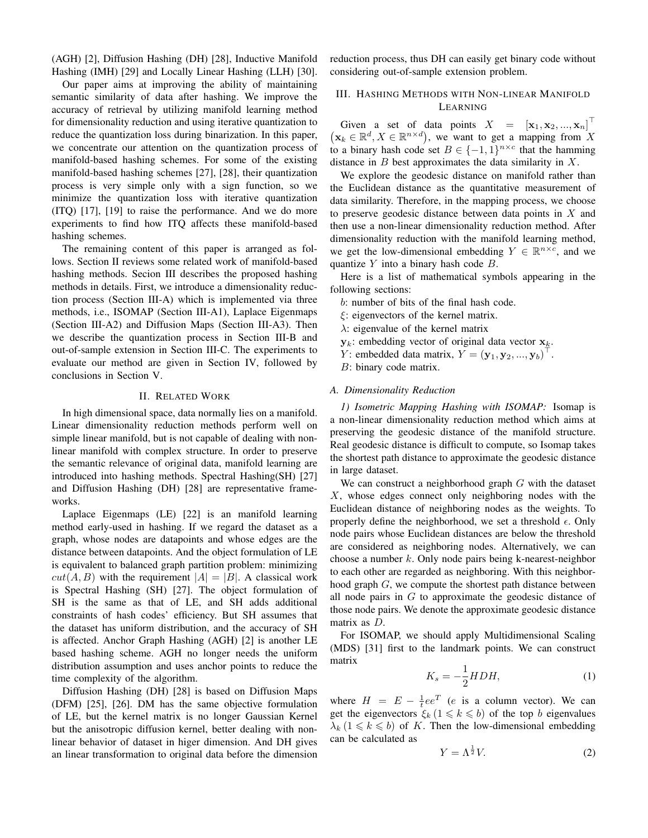(AGH) [2], Diffusion Hashing (DH) [28], Inductive Manifold Hashing (IMH) [29] and Locally Linear Hashing (LLH) [30].

Our paper aims at improving the ability of maintaining semantic similarity of data after hashing. We improve the accuracy of retrieval by utilizing manifold learning method for dimensionality reduction and using iterative quantization to reduce the quantization loss during binarization. In this paper, we concentrate our attention on the quantization process of manifold-based hashing schemes. For some of the existing manifold-based hashing schemes [27], [28], their quantization process is very simple only with a sign function, so we minimize the quantization loss with iterative quantization (ITQ) [17], [19] to raise the performance. And we do more experiments to find how ITQ affects these manifold-based hashing schemes.

The remaining content of this paper is arranged as follows. Section II reviews some related work of manifold-based hashing methods. Secion III describes the proposed hashing methods in details. First, we introduce a dimensionality reduction process (Section III-A) which is implemented via three methods, i.e., ISOMAP (Section III-A1), Laplace Eigenmaps (Section III-A2) and Diffusion Maps (Section III-A3). Then we describe the quantization process in Section III-B and out-of-sample extension in Section III-C. The experiments to evaluate our method are given in Section IV, followed by conclusions in Section V.

#### II. RELATED WORK

In high dimensional space, data normally lies on a manifold. Linear dimensionality reduction methods perform well on simple linear manifold, but is not capable of dealing with nonlinear manifold with complex structure. In order to preserve the semantic relevance of original data, manifold learning are introduced into hashing methods. Spectral Hashing(SH) [27] and Diffusion Hashing (DH) [28] are representative frameworks.

Laplace Eigenmaps (LE) [22] is an manifold learning method early-used in hashing. If we regard the dataset as a graph, whose nodes are datapoints and whose edges are the distance between datapoints. And the object formulation of LE is equivalent to balanced graph partition problem: minimizing  $cut(A, B)$  with the requirement  $|A| = |B|$ . A classical work is Spectral Hashing (SH) [27]. The object formulation of SH is the same as that of LE, and SH adds additional constraints of hash codes' efficiency. But SH assumes that the dataset has uniform distribution, and the accuracy of SH is affected. Anchor Graph Hashing (AGH) [2] is another LE based hashing scheme. AGH no longer needs the uniform distribution assumption and uses anchor points to reduce the time complexity of the algorithm.

Diffusion Hashing (DH) [28] is based on Diffusion Maps (DFM) [25], [26]. DM has the same objective formulation of LE, but the kernel matrix is no longer Gaussian Kernel but the anisotropic diffusion kernel, better dealing with nonlinear behavior of dataset in higer dimension. And DH gives an linear transformation to original data before the dimension reduction process, thus DH can easily get binary code without considering out-of-sample extension problem.

# III. HASHING METHODS WITH NON-LINEAR MANIFOLD LEARNING

Given a set of data points  $X = [\mathbf{x}_1, \mathbf{x}_2, ..., \mathbf{x}_n]$  $(\mathbf{x}_k \in \mathbb{R}^d, X \in \mathbb{R}^{n \times d})$ , we want to get a mapping from X to a binary hash code set  $B \in \{-1, 1\}^{n \times c}$  that the hamming distance in *B* best approximates the data similarity in *X*.

We explore the geodesic distance on manifold rather than the Euclidean distance as the quantitative measurement of data similarity. Therefore, in the mapping process, we choose to preserve geodesic distance between data points in *X* and then use a non-linear dimensionality reduction method. After dimensionality reduction with the manifold learning method, we get the low-dimensional embedding  $Y \in \mathbb{R}^{n \times c}$ , and we quantize *Y* into a binary hash code *B*.

Here is a list of mathematical symbols appearing in the following sections:

- *b*: number of bits of the final hash code.
- *ξ*: eigenvectors of the kernel matrix.
- *λ*: eigenvalue of the kernel matrix
- $y_k$ : embedding vector of original data vector  $x_k$ .
- *Y*: embedded data matrix,  $Y = (\mathbf{y}_1, \mathbf{y}_2, ..., \mathbf{y}_b)$ <sup> $\top$ </sup>.
- *B*: binary code matrix.

## *A. Dimensionality Reduction*

*1) Isometric Mapping Hashing with ISOMAP:* Isomap is a non-linear dimensionality reduction method which aims at preserving the geodesic distance of the manifold structure. Real geodesic distance is difficult to compute, so Isomap takes the shortest path distance to approximate the geodesic distance in large dataset.

We can construct a neighborhood graph *G* with the dataset *X*, whose edges connect only neighboring nodes with the Euclidean distance of neighboring nodes as the weights. To properly define the neighborhood, we set a threshold  $\epsilon$ . Only node pairs whose Euclidean distances are below the threshold are considered as neighboring nodes. Alternatively, we can choose a number *k*. Only node pairs being k-nearest-neighbor to each other are regarded as neighboring. With this neighborhood graph *G*, we compute the shortest path distance between all node pairs in *G* to approximate the geodesic distance of those node pairs. We denote the approximate geodesic distance matrix as *D*.

For ISOMAP, we should apply Multidimensional Scaling (MDS) [31] first to the landmark points. We can construct matrix

$$
K_s = -\frac{1}{2} H D H,\tag{1}
$$

where  $H = E - \frac{1}{t}ee^T$  (*e* is a column vector). We can get the eigenvectors  $\xi_k$  ( $1 \le k \le b$ ) of the top *b* eigenvalues  $\lambda_k$  (1  $\leq k \leq b$ ) of *K*. Then the low-dimensional embedding can be calculated as

$$
Y = \Lambda^{\frac{1}{2}} V. \tag{2}
$$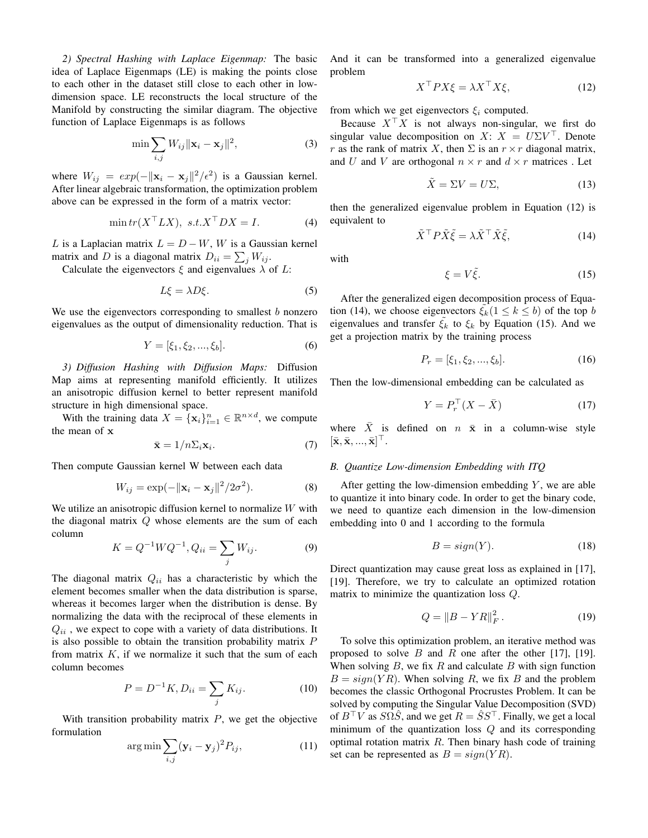*2) Spectral Hashing with Laplace Eigenmap:* The basic idea of Laplace Eigenmaps (LE) is making the points close to each other in the dataset still close to each other in lowdimension space. LE reconstructs the local structure of the Manifold by constructing the similar diagram. The objective function of Laplace Eigenmaps is as follows

$$
\min \sum_{i,j} W_{ij} \|\mathbf{x}_i - \mathbf{x}_j\|^2,\tag{3}
$$

where  $W_{ij} = exp(-||\mathbf{x}_i - \mathbf{x}_j||^2/\epsilon^2)$  is a Gaussian kernel. After linear algebraic transformation, the optimization problem above can be expressed in the form of a matrix vector:

$$
\min tr(X^{\top} L X), \ s.t. X^{\top} D X = I. \tag{4}
$$

*L* is a Laplacian matrix  $L = D - W$ , *W* is a Gaussian kernel matrix and *D* is a diagonal matrix  $D_{ii} = \sum_j W_{ij}$ .

Calculate the eigenvectors  $\xi$  and eigenvalues  $\lambda$  of *L*:

$$
L\xi = \lambda D\xi. \tag{5}
$$

We use the eigenvectors corresponding to smallest *b* nonzero eigenvalues as the output of dimensionality reduction. That is

$$
Y = [\xi_1, \xi_2, ..., \xi_b].
$$
 (6)

*3) Diffusion Hashing with Diffusion Maps:* Diffusion Map aims at representing manifold efficiently. It utilizes an anisotropic diffusion kernel to better represent manifold structure in high dimensional space.

With the training data  $X = {\mathbf{x}_i}_{i=1}^n \in \mathbb{R}^{n \times d}$ , we compute the mean of **x**

$$
\bar{\mathbf{x}} = 1/n\Sigma_i \mathbf{x}_i. \tag{7}
$$

Then compute Gaussian kernel W between each data

$$
W_{ij} = \exp(-\|\mathbf{x}_i - \mathbf{x}_j\|^2 / 2\sigma^2). \tag{8}
$$

We utilize an anisotropic diffusion kernel to normalize *W* with the diagonal matrix *Q* whose elements are the sum of each column

$$
K = Q^{-1} W Q^{-1}, Q_{ii} = \sum_{j} W_{ij}.
$$
 (9)

The diagonal matrix  $Q_{ii}$  has a characteristic by which the element becomes smaller when the data distribution is sparse, whereas it becomes larger when the distribution is dense. By normalizing the data with the reciprocal of these elements in  $Q_{ii}$ , we expect to cope with a variety of data distributions. It is also possible to obtain the transition probability matrix *P* from matrix *K*, if we normalize it such that the sum of each column becomes

$$
P = D^{-1}K, D_{ii} = \sum_{j} K_{ij}.
$$
 (10)

With transition probability matrix *P*, we get the objective formulation

$$
\arg\min \sum_{i,j} (\mathbf{y}_i - \mathbf{y}_j)^2 P_{ij},\tag{11}
$$

And it can be transformed into a generalized eigenvalue problem

$$
X^{\top} P X \xi = \lambda X^{\top} X \xi, \tag{12}
$$

from which we get eigenvectors  $\xi_i$  computed.

Because  $X^{\top}X$  is not always non-singular, we first do singular value decomposition on *X*:  $X = U\Sigma V^{\dagger}$ . Denote *r* as the rank of matrix *X*, then  $\Sigma$  is an  $r \times r$  diagonal matrix, and *U* and *V* are orthogonal  $n \times r$  and  $d \times r$  matrices. Let

$$
\tilde{X} = \Sigma V = U\Sigma,\tag{13}
$$

then the generalized eigenvalue problem in Equation (12) is equivalent to

$$
\tilde{X}^{\top} P \tilde{X} \tilde{\xi} = \lambda \tilde{X}^{\top} \tilde{X} \tilde{\xi},\tag{14}
$$

with

$$
\xi = V\tilde{\xi}.\tag{15}
$$

After the generalized eigen decomposition process of Equation (14), we choose eigenvectors  $\xi_k$ (1  $\leq$  *k*  $\leq$  *b*) of the top *b* eigenvalues and transfer  $\xi_k$  to  $\xi_k$  by Equation (15). And we get a projection matrix by the training process

$$
P_r = [\xi_1, \xi_2, ..., \xi_b]. \tag{16}
$$

Then the low-dimensional embedding can be calculated as

$$
Y = P_r^\top (X - \bar{X}) \tag{17}
$$

where  $\bar{X}$  is defined on  $n \bar{x}$  in a column-wise style  $\left[ \bar{\mathbf{x}}, \bar{\mathbf{x}}, ..., \bar{\mathbf{x}} \right]^\top$ .

## *B. Quantize Low-dimension Embedding with ITQ*

After getting the low-dimension embedding *Y* , we are able to quantize it into binary code. In order to get the binary code, we need to quantize each dimension in the low-dimension embedding into 0 and 1 according to the formula

$$
B = sign(Y). \t(18)
$$

Direct quantization may cause great loss as explained in [17], [19]. Therefore, we try to calculate an optimized rotation matrix to minimize the quantization loss *Q*.

$$
Q = ||B - YR||_F^2.
$$
 (19)

To solve this optimization problem, an iterative method was proposed to solve *B* and *R* one after the other [17], [19]. When solving *B*, we fix *R* and calculate *B* with sign function  $B = sign(YR)$ . When solving *R*, we fix *B* and the problem becomes the classic Orthogonal Procrustes Problem. It can be solved by computing the Singular Value Decomposition (SVD) of  $B^{\top}V$  as  $S\Omega S$ , and we get  $R = \hat{S}S^{\top}$ . Finally, we get a local minimum of the quantization loss *Q* and its corresponding optimal rotation matrix *R*. Then binary hash code of training set can be represented as  $B = sign(YR)$ .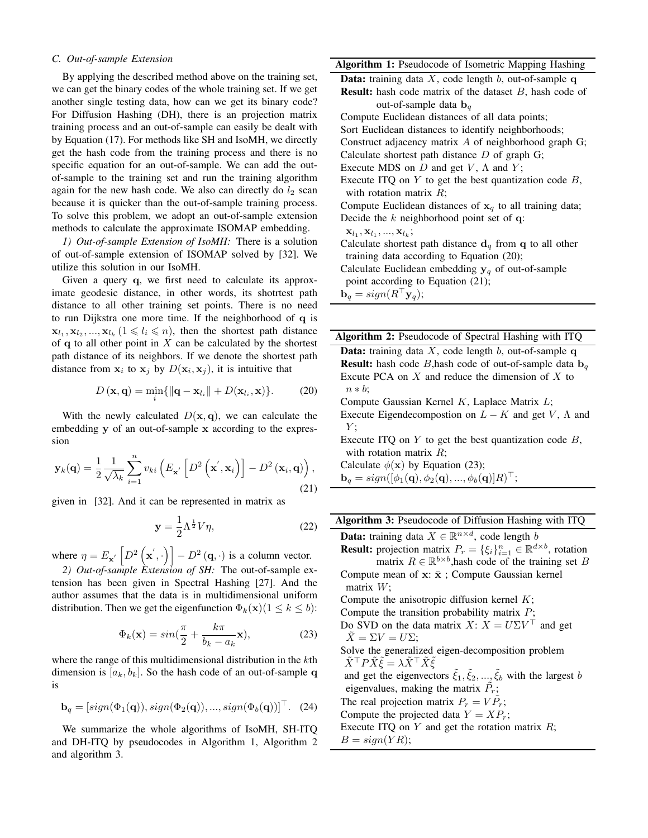## *C. Out-of-sample Extension*

By applying the described method above on the training set, we can get the binary codes of the whole training set. If we get another single testing data, how can we get its binary code? For Diffusion Hashing (DH), there is an projection matrix training process and an out-of-sample can easily be dealt with by Equation (17). For methods like SH and IsoMH, we directly get the hash code from the training process and there is no specific equation for an out-of-sample. We can add the outof-sample to the training set and run the training algorithm again for the new hash code. We also can directly do  $l_2$  scan because it is quicker than the out-of-sample training process. To solve this problem, we adopt an out-of-sample extension methods to calculate the approximate ISOMAP embedding.

*1) Out-of-sample Extension of IsoMH:* There is a solution of out-of-sample extension of ISOMAP solved by [32]. We utilize this solution in our IsoMH.

Given a query **q**, we first need to calculate its approximate geodesic distance, in other words, its shotrtest path distance to all other training set points. There is no need to run Dijkstra one more time. If the neighborhood of **q** is  $\mathbf{x}_{l_1}, \mathbf{x}_{l_2}, ..., \mathbf{x}_{l_k}$  ( $1 \leq l_i \leq n$ ), then the shortest path distance of **q** to all other point in *X* can be calculated by the shortest path distance of its neighbors. If we denote the shortest path distance from  $x_i$  to  $x_j$  by  $D(x_i, x_j)$ , it is intuitive that

$$
D(\mathbf{x}, \mathbf{q}) = \min_{i} \{ ||\mathbf{q} - \mathbf{x}_{l_i}|| + D(\mathbf{x}_{l_i}, \mathbf{x}) \}.
$$
 (20)

With the newly calculated  $D(x, q)$ , we can calculate the embedding **y** of an out-of-sample **x** according to the expression

$$
\mathbf{y}_{k}(\mathbf{q}) = \frac{1}{2} \frac{1}{\sqrt{\lambda_{k}}} \sum_{i=1}^{n} v_{ki} \left( E_{\mathbf{x}'} \left[ D^{2} \left( \mathbf{x}^{'} , \mathbf{x}_{i} \right) \right] - D^{2} \left( \mathbf{x}_{i}, \mathbf{q} \right) \right), \tag{21}
$$

given in [32]. And it can be represented in matrix as

$$
\mathbf{y} = \frac{1}{2} \Lambda^{\frac{1}{2}} V \eta, \tag{22}
$$

where  $\eta = E_{\mathbf{x}'}\left[D^2\left(\mathbf{x}',\cdot\right)\right] - D^2\left(\mathbf{q},\cdot\right)$  is a column vector.

*2) Out-of-sample Extension of SH:* The out-of-sample extension has been given in Spectral Hashing [27]. And the author assumes that the data is in multidimensional uniform distribution. Then we get the eigenfunction  $\Phi_k(\mathbf{x})$  (1  $\leq$  *k*  $\leq$  *b*):

$$
\Phi_k(\mathbf{x}) = \sin(\frac{\pi}{2} + \frac{k\pi}{b_k - a_k}\mathbf{x}),\tag{23}
$$

where the range of this multidimensional distribution in the *k*th dimension is  $[a_k, b_k]$ . So the hash code of an out-of-sample **q** is

$$
\mathbf{b}_q = [sign(\Phi_1(\mathbf{q})), sign(\Phi_2(\mathbf{q})), ..., sign(\Phi_b(\mathbf{q}))]^\top. (24)
$$

We summarize the whole algorithms of IsoMH, SH-ITQ and DH-ITQ by pseudocodes in Algorithm 1, Algorithm 2 and algorithm 3.

#### Algorithm 1: Pseudocode of Isometric Mapping Hashing

Data: training data *X*, code length *b*, out-of-sample **q** Result: hash code matrix of the dataset *B*, hash code of out-of-sample data **b***<sup>q</sup>*

Compute Euclidean distances of all data points;

Sort Euclidean distances to identify neighborhoods;

Construct adjacency matrix *A* of neighborhood graph G;

Calculate shortest path distance *D* of graph G;

Execute MDS on  $D$  and get  $V$ ,  $\Lambda$  and  $Y$ ;

Execute ITQ on *Y* to get the best quantization code *B*, with rotation matrix *R*;

Compute Euclidean distances of  $x_q$  to all training data; Decide the *k* neighborhood point set of **q**:

```
\mathbf{x}_{l_1}, \mathbf{x}_{l_1}, ..., \mathbf{x}_{l_k};
```
Calculate shortest path distance  $\mathbf{d}_q$  from **q** to all other training data according to Equation (20);

Calculate Euclidean embedding  $y_q$  of out-of-sample point according to Equation (21);

 $\mathbf{b}_q = sign(R^{\top}\mathbf{y}_q);$ 

| Algorithm 2: Pseudocode of Spectral Hashing with ITQ                                           |
|------------------------------------------------------------------------------------------------|
| <b>Data:</b> training data X, code length b, out-of-sample $q$                                 |
| <b>Result:</b> hash code <i>B</i> , hash code of out-of-sample data $\mathbf{b}_q$             |
| Excute PCA on X and reduce the dimension of X to                                               |
| $n * b$ :                                                                                      |
| Compute Gaussian Kernel $K$ , Laplace Matrix $L$ ;                                             |
| Execute Eigendecompostion on $L - K$ and get V, $\Lambda$ and                                  |
| Υ:                                                                                             |
| Execute ITQ on $Y$ to get the best quantization code $B$ ,                                     |
| with rotation matrix $R$ ;                                                                     |
| Calculate $\phi(\mathbf{x})$ by Equation (23);                                                 |
| $\mathbf{b}_q = sign([\phi_1(\mathbf{q}), \phi_2(\mathbf{q}), , \phi_b(\mathbf{q})]R)^{\top};$ |

| Algorithm 3: Pseudocode of Diffusion Hashing with ITQ |  |  |  |  |  |  |  |  |
|-------------------------------------------------------|--|--|--|--|--|--|--|--|
|-------------------------------------------------------|--|--|--|--|--|--|--|--|

**Data:** training data  $X \in \mathbb{R}^{n \times d}$ , code length *b* **Result:** projection matrix  $P_r = \{\xi_i\}_{i=1}^n \in \mathbb{R}^{d \times b}$ , rotation matrix  $R \in \mathbb{R}^{b \times b}$ , hash code of the training set *B* Compute mean of  $x: \bar{x}$ ; Compute Gaussian kernel matrix *W*; Compute the anisotropic diffusion kernel *K*; Compute the transition probability matrix *P*; Do SVD on the data matrix *X*:  $X = U\Sigma V^{\top}$  and get  $\ddot{X} = \Sigma V = U \Sigma;$ Solve the generalized eigen-decomposition problem  $\tilde{X}$ <sup>T</sup> $P\tilde{X}\tilde{\xi} = \lambda \tilde{X}$ <sup>T</sup> $\tilde{X}\tilde{\xi}$ and get the eigenvectors  $\tilde{\xi}_1$ ,  $\tilde{\xi}_2$ , ...,  $\tilde{\xi}_b$  with the largest *b* eigenvalues, making the matrix  $\tilde{P}_r$ ; The real projection matrix  $P_r = V \tilde{P}_r$ ; Compute the projected data  $Y = XP_r$ ; Execute ITQ on *Y* and get the rotation matrix *R*;  $B = sign(YR);$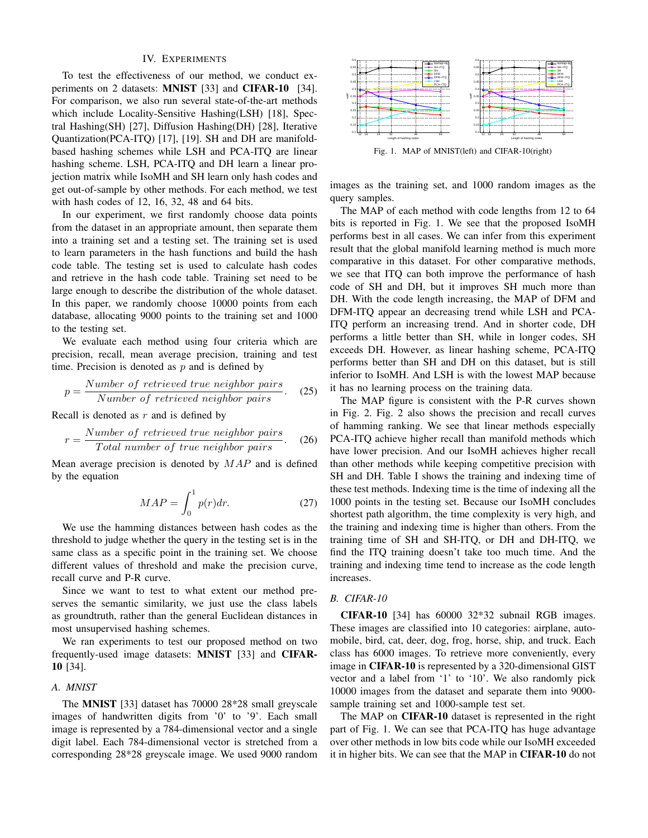## IV. EXPERIMENTS

To test the effectiveness of our method, we conduct experiments on 2 datasets: MNIST [33] and CIFAR-10 [34]. For comparison, we also run several state-of-the-art methods which include Locality-Sensitive Hashing(LSH) [18], Spectral Hashing(SH) [27], Diffusion Hashing(DH) [28], Iterative Quantization(PCA-ITQ) [17], [19]. SH and DH are manifoldbased hashing schemes while LSH and PCA-ITQ are linear hashing scheme. LSH, PCA-ITQ and DH learn a linear projection matrix while IsoMH and SH learn only hash codes and get out-of-sample by other methods. For each method, we test with hash codes of 12, 16, 32, 48 and 64 bits.

In our experiment, we first randomly choose data points from the dataset in an appropriate amount, then separate them into a training set and a testing set. The training set is used to learn parameters in the hash functions and build the hash code table. The testing set is used to calculate hash codes and retrieve in the hash code table. Training set need to be large enough to describe the distribution of the whole dataset. In this paper, we randomly choose 10000 points from each database, allocating 9000 points to the training set and 1000 to the testing set.

We evaluate each method using four criteria which are precision, recall, mean average precision, training and test time. Precision is denoted as *p* and is defined by

$$
p = \frac{Number\ of\ retrieved\ true\ neighbor\ pairs}{Number\ of\ retrieved\ neighbor\ pairs}.\tag{25}
$$

Recall is denoted as *r* and is defined by

$$
r = \frac{Number\ of\ retrieved\ true\ neighbor\ pairs}{Total\ number\ of\ true\ neighbor\ pairs}.\tag{26}
$$

Mean average precision is denoted by *MAP* and is defined by the equation

$$
MAP = \int_0^1 p(r) dr.
$$
 (27)

We use the hamming distances between hash codes as the threshold to judge whether the query in the testing set is in the same class as a specific point in the training set. We choose different values of threshold and make the precision curve, recall curve and P-R curve.

Since we want to test to what extent our method preserves the semantic similarity, we just use the class labels as groundtruth, rather than the general Euclidean distances in most unsupervised hashing schemes.

We ran experiments to test our proposed method on two frequently-used image datasets: MNIST [33] and CIFAR-10 [34].

## *A. MNIST*

The MNIST [33] dataset has 70000 28\*28 small greyscale images of handwritten digits from '0' to '9'. Each small image is represented by a 784-dimensional vector and a single digit label. Each 784-dimensional vector is stretched from a corresponding 28\*28 greyscale image. We used 9000 random



Fig. 1. MAP of MNIST(left) and CIFAR-10(right)

images as the training set, and 1000 random images as the query samples.

The MAP of each method with code lengths from 12 to 64 bits is reported in Fig. 1. We see that the proposed IsoMH performs best in all cases. We can infer from this experiment result that the global manifold learning method is much more comparative in this dataset. For other comparative methods, we see that ITQ can both improve the performance of hash code of SH and DH, but it improves SH much more than DH. With the code length increasing, the MAP of DFM and DFM-ITQ appear an decreasing trend while LSH and PCA-ITQ perform an increasing trend. And in shorter code, DH performs a little better than SH, while in longer codes, SH exceeds DH. However, as linear hashing scheme, PCA-ITQ performs better than SH and DH on this dataset, but is still inferior to IsoMH. And LSH is with the lowest MAP because it has no learning process on the training data.

The MAP figure is consistent with the P-R curves shown in Fig. 2. Fig. 2 also shows the precision and recall curves of hamming ranking. We see that linear methods especially PCA-ITQ achieve higher recall than manifold methods which have lower precision. And our IsoMH achieves higher recall than other methods while keeping competitive precision with SH and DH. Table I shows the training and indexing time of these test methods. Indexing time is the time of indexing all the 1000 points in the testing set. Because our IsoMH concludes shortest path algorithm, the time complexity is very high, and the training and indexing time is higher than others. From the training time of SH and SH-ITQ, or DH and DH-ITQ, we find the ITQ training doesn't take too much time. And the training and indexing time tend to increase as the code length increases.

## *B. CIFAR-10*

CIFAR-10 [34] has 60000 32\*32 subnail RGB images. These images are classified into 10 categories: airplane, automobile, bird, cat, deer, dog, frog, horse, ship, and truck. Each class has 6000 images. To retrieve more conveniently, every image in CIFAR-10 is represented by a 320-dimensional GIST vector and a label from '1' to '10'. We also randomly pick 10000 images from the dataset and separate them into 9000 sample training set and 1000-sample test set.

The MAP on CIFAR-10 dataset is represented in the right part of Fig. 1. We can see that PCA-ITQ has huge advantage over other methods in low bits code while our IsoMH exceeded it in higher bits. We can see that the MAP in CIFAR-10 do not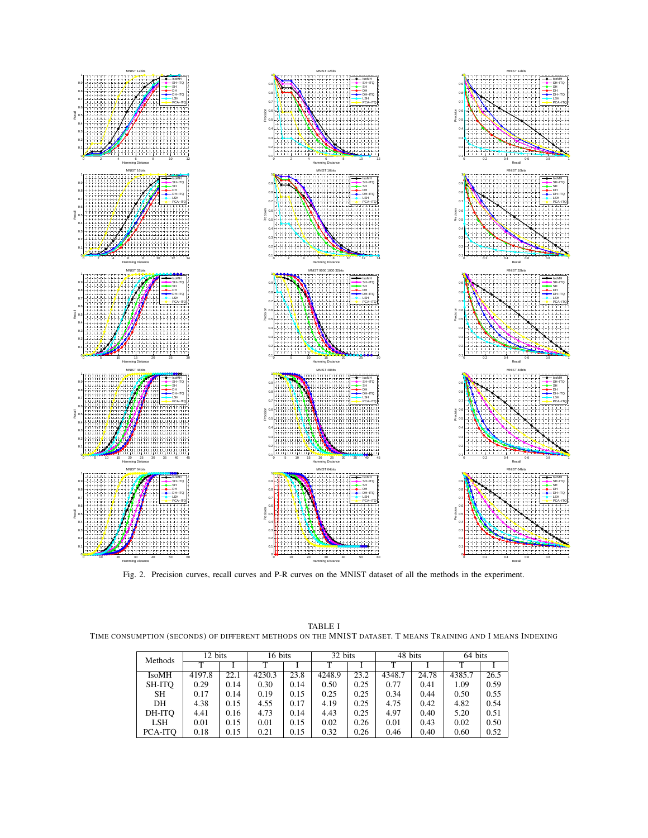

Fig. 2. Precision curves, recall curves and P-R curves on the MNIST dataset of all the methods in the experiment.

| <b>TABLE I</b>                                                                                              |  |
|-------------------------------------------------------------------------------------------------------------|--|
| TIME CONSUMPTION (SECONDS) OF DIFFERENT METHODS ON THE MNIST DATASET. T MEANS TRAINING AND I MEANS INDEXING |  |

| Methods      | 12 bits |      | 16 bits |      | 32 bits |      | 48 bits |       | 64 bits |      |
|--------------|---------|------|---------|------|---------|------|---------|-------|---------|------|
|              | T       |      |         |      |         |      |         |       | т       |      |
| <b>IsoMH</b> | 4197.8  | 22.1 | 4230.3  | 23.8 | 4248.9  | 23.2 | 4348.7  | 24.78 | 4385.7  | 26.5 |
| SH-ITO       | 0.29    | 0.14 | 0.30    | 0.14 | 0.50    | 0.25 | 0.77    | 0.41  | 1.09    | 0.59 |
| SH           | 0.17    | 0.14 | 0.19    | 0.15 | 0.25    | 0.25 | 0.34    | 0.44  | 0.50    | 0.55 |
| DH           | 4.38    | 0.15 | 4.55    | 0.17 | 4.19    | 0.25 | 4.75    | 0.42  | 4.82    | 0.54 |
| DH-ITO       | 4.41    | 0.16 | 4.73    | 0.14 | 4.43    | 0.25 | 4.97    | 0.40  | 5.20    | 0.51 |
| LSH          | 0.01    | 0.15 | 0.01    | 0.15 | 0.02    | 0.26 | 0.01    | 0.43  | 0.02    | 0.50 |
| PCA-ITO      | 0.18    | 0.15 | 0.21    | 0.15 | 0.32    | 0.26 | 0.46    | 0.40  | 0.60    | 0.52 |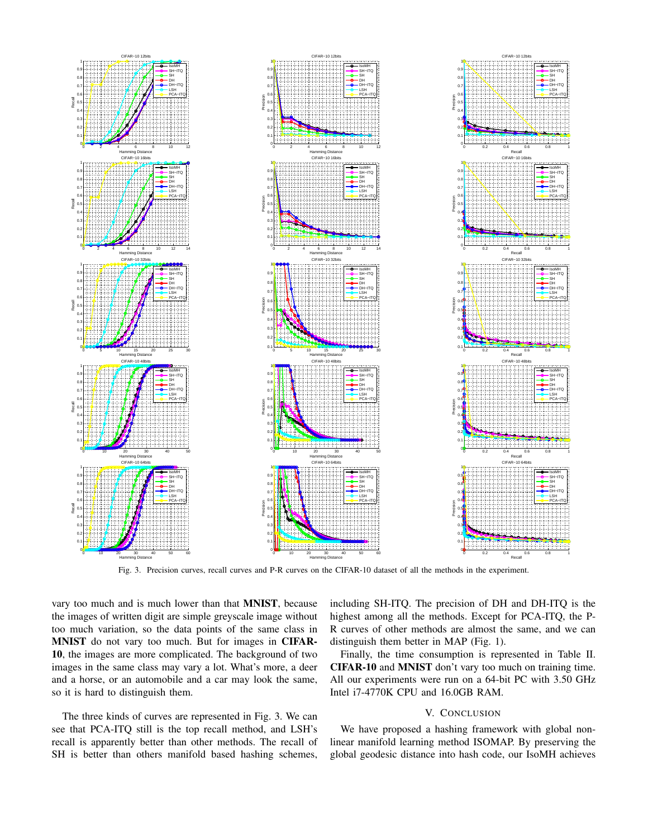

Fig. 3. Precision curves, recall curves and P-R curves on the CIFAR-10 dataset of all the methods in the experiment.

vary too much and is much lower than that MNIST, because the images of written digit are simple greyscale image without too much variation, so the data points of the same class in MNIST do not vary too much. But for images in CIFAR-10, the images are more complicated. The background of two images in the same class may vary a lot. What's more, a deer and a horse, or an automobile and a car may look the same, so it is hard to distinguish them.

The three kinds of curves are represented in Fig. 3. We can see that PCA-ITQ still is the top recall method, and LSH's recall is apparently better than other methods. The recall of SH is better than others manifold based hashing schemes, including SH-ITQ. The precision of DH and DH-ITQ is the highest among all the methods. Except for PCA-ITQ, the P-R curves of other methods are almost the same, and we can distinguish them better in MAP (Fig. 1).

Finally, the time consumption is represented in Table II. CIFAR-10 and MNIST don't vary too much on training time. All our experiments were run on a 64-bit PC with 3.50 GHz Intel i7-4770K CPU and 16.0GB RAM.

## V. CONCLUSION

We have proposed a hashing framework with global nonlinear manifold learning method ISOMAP. By preserving the global geodesic distance into hash code, our IsoMH achieves